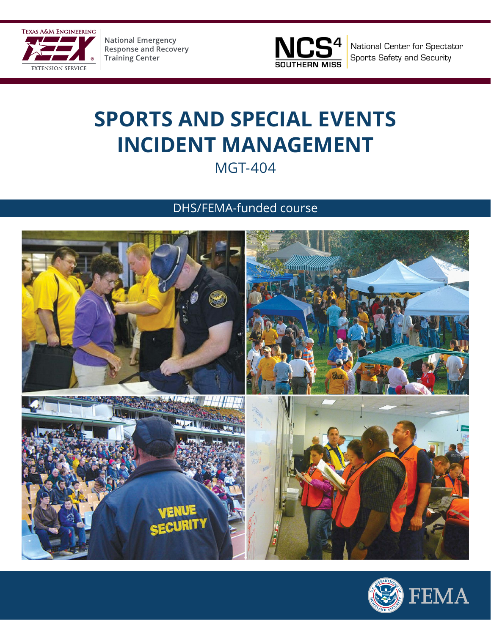

**National Emergency<br>Response and Recovery Training Center** 



National Center for Spectator Sports Safety and Security

## **SPORTS AND SPECIAL EVENTS INCIDENT MANAGEMENT** MGT-404

DHS/FEMA-funded course